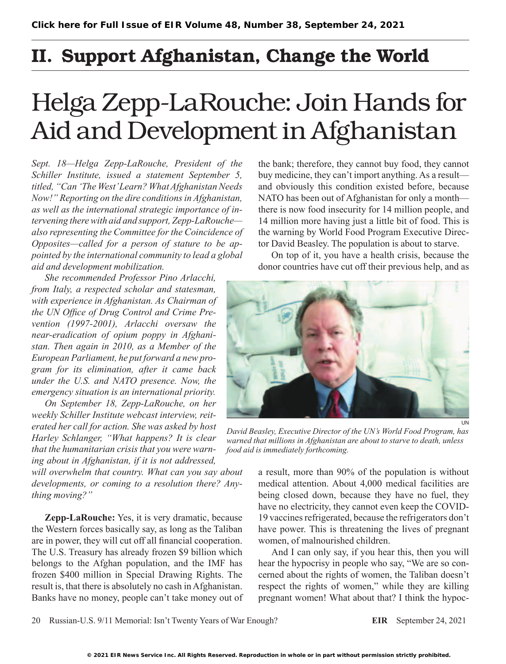## II. Support Afghanistan, Change the World

## Helga Zepp-LaRouche: Join Hands for Aid and Development in Afghanistan

*Sept. 18—Helga Zepp-LaRouche, President of the Schiller Institute, issued a statement September 5, titled, "Can 'The West' Learn? What Afghanistan Needs Now!" Reporting on the dire conditions in Afghanistan, as well as the international strategic importance of intervening there with aid and support, Zepp-LaRouche also representing the Committee for the Coincidence of Opposites—called for a person of stature to be appointed by the international community to lead a global aid and development mobilization.*

*She recommended Professor Pino Arlacchi, from Italy, a respected scholar and statesman, with experience in Afghanistan. As Chairman of the UN Office of Drug Control and Crime Prevention (1997-2001), Arlacchi oversaw the near-eradication of opium poppy in Afghanistan. Then again in 2010, as a Member of the European Parliament, he put forward a new program for its elimination, after it came back under the U.S. and NATO presence. Now, the emergency situation is an international priority.*

*On September 18, Zepp-LaRouche, on her weekly Schiller Institute webcast interview, reiterated her call for action. She was asked by host Harley Schlanger, "What happens? It is clear that the humanitarian crisis that you were warning about in Afghanistan, if it is not addressed,* 

*will overwhelm that country. What can you say about developments, or coming to a resolution there? Anything moving?"*

**Zepp-LaRouche:** Yes, it is very dramatic, because the Western forces basically say, as long as the Taliban are in power, they will cut off all financial cooperation. The U.S. Treasury has already frozen \$9 billion which belongs to the Afghan population, and the IMF has frozen \$400 million in Special Drawing Rights. The result is, that there is absolutely no cash in Afghanistan. Banks have no money, people can't take money out of the bank; therefore, they cannot buy food, they cannot buy medicine, they can't import anything. As a result and obviously this condition existed before, because NATO has been out of Afghanistan for only a month there is now food insecurity for 14 million people, and 14 million more having just a little bit of food. This is the warning by World Food Program Executive Director David Beasley. The population is about to starve.

On top of it, you have a health crisis, because the donor countries have cut off their previous help, and as



*David Beasley, Executive Director of the UN's World Food Program, has warned that millions in Afghanistan are about to starve to death, unless food aid is immediately forthcoming.*

a result, more than 90% of the population is without medical attention. About 4,000 medical facilities are being closed down, because they have no fuel, they have no electricity, they cannot even keep the COVID-19 vaccines refrigerated, because the refrigerators don't have power. This is threatening the lives of pregnant women, of malnourished children.

And I can only say, if you hear this, then you will hear the hypocrisy in people who say, "We are so concerned about the rights of women, the Taliban doesn't respect the rights of women," while they are killing pregnant women! What about that? I think the hypoc-